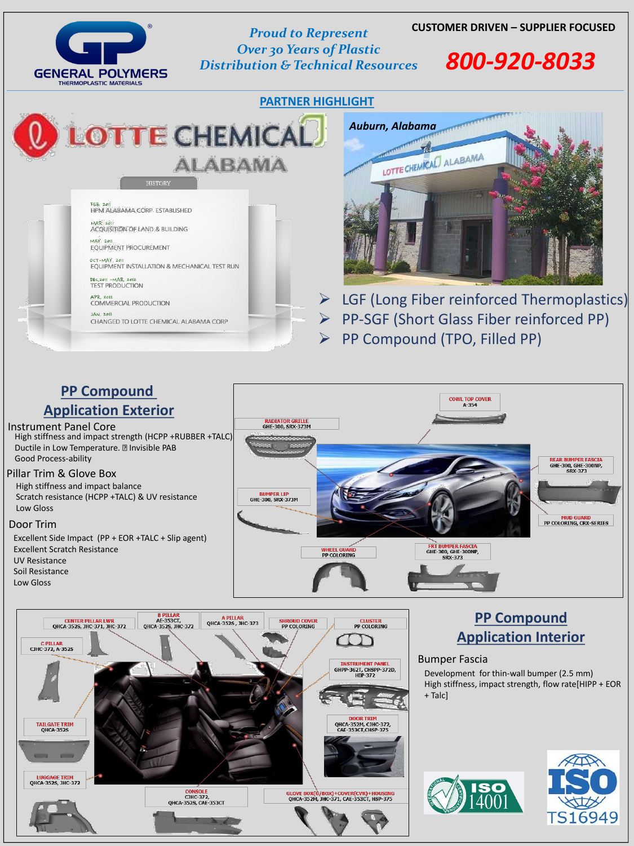### **CUSTOMER DRIVEN – SUPPLIER FOCUSED** *Proud to Represent*

## LOTTE CHEMICAL. **ALABAMA**

**HISTORY** 

**FEB. 201** HPM ALABAMA CORP ESTABLISHED

**MAR 2011 ACQUISITION OF LAND & BUILDING** 

**MAY 2011 EQUIPMENT PROCUREMENT** 

OCT-MAY 2011 EQUIPMENT INSTALLATION & MECHANICAL TEST RUN

DEC.2011 - MAR. 2012 **TEST PRODUCTION** 

APR. 2012 COMMERCIAL PRODUCTION

**JAN. 2013** CHANGED TO LOTTE CHEMICAL ALABAMA CORP

## **GENERAL POLYMERS THERMOPLASTIC MATERIALS**

*Over 30 Years of Plastic Distribution & Technical Resources 800-920-8033*

> ➢ LGF (Long Fiber reinforced Thermoplastics) ➢ PP-SGF (Short Glass Fiber reinforced PP) ➢ PP Compound (TPO, Filled PP)

#### **PP Compound**

#### **Application Interior**

### **PP Compound Application Exterior**

#### Instrument Panel Core

High stiffness and impact strength (HCPP +RUBBER +TALC) Ductile in Low Temperature. **Invisible PAB** Good Process-ability

#### Pillar Trim & Glove Box



High stiffness and impact balance Scratch resistance (HCPP +TALC) & UV resistance Low Gloss

#### Door Trim

Excellent Side Impact (PP + EOR +TALC + Slip agent) Excellent Scratch Resistance UV Resistance Soil Resistance Low Gloss





#### Bumper Fascia

Development for thin-wall bumper (2.5 mm) High stiffness, impact strength, flow rate[HIPP + EOR + Talc]